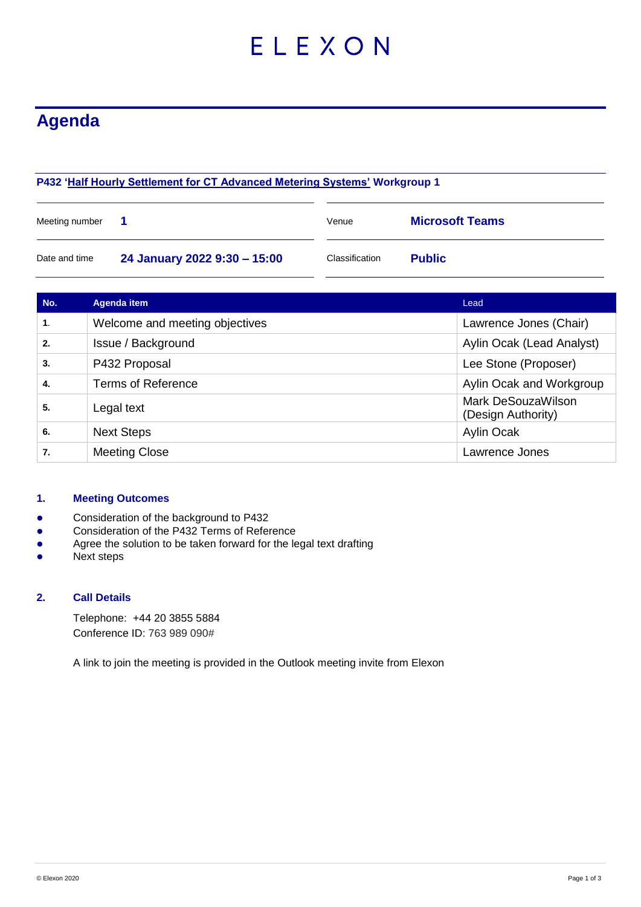# ELEXON

# **Agenda**

# **P432 ['Half Hourly Settlement for CT Advanced Metering Systems'](https://www.elexon.co.uk/mod-proposal/p432/) Workgroup 1**

| Meeting number |                              | Venue          | <b>Microsoft Teams</b> |  |
|----------------|------------------------------|----------------|------------------------|--|
| Date and time  | 24 January 2022 9:30 - 15:00 | Classification | <b>Public</b>          |  |

| No.            | <b>Agenda item</b>             | Lead                                     |
|----------------|--------------------------------|------------------------------------------|
| $\mathbf{1}$ . | Welcome and meeting objectives | Lawrence Jones (Chair)                   |
| 2.             | Issue / Background             | Aylin Ocak (Lead Analyst)                |
| 3.             | P432 Proposal                  | Lee Stone (Proposer)                     |
| 4.             | <b>Terms of Reference</b>      | Aylin Ocak and Workgroup                 |
| 5.             | Legal text                     | Mark DeSouzaWilson<br>(Design Authority) |
| 6.             | <b>Next Steps</b>              | <b>Aylin Ocak</b>                        |
| 7.             | <b>Meeting Close</b>           | Lawrence Jones                           |

#### **1. Meeting Outcomes**

- Consideration of the background to P432
- **•** Consideration of the P432 Terms of Reference
- **•** Agree the solution to be taken forward for the legal text drafting
- Next steps

## **2. Call Details**

Telephone: +44 20 3855 5884 Conference ID: 763 989 090#

A link to join the meeting is provided in the Outlook meeting invite from Elexon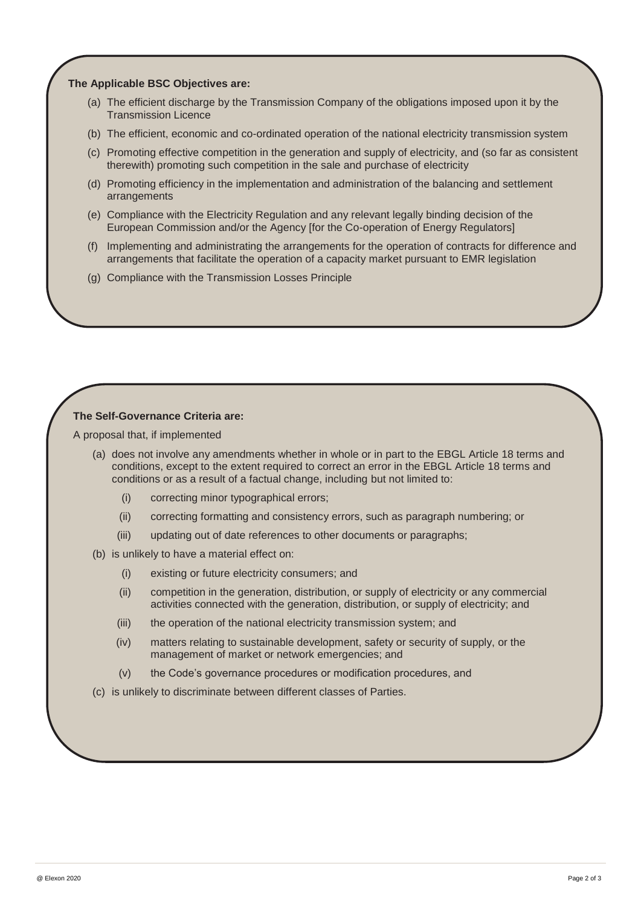#### **The Applicable BSC Objectives are:**

- (a) The efficient discharge by the Transmission Company of the obligations imposed upon it by the Transmission Licence
- (b) The efficient, economic and co-ordinated operation of the national electricity transmission system
- (c) Promoting effective competition in the generation and supply of electricity, and (so far as consistent therewith) promoting such competition in the sale and purchase of electricity
- (d) Promoting efficiency in the implementation and administration of the balancing and settlement arrangements
- (e) Compliance with the Electricity Regulation and any relevant legally binding decision of the European Commission and/or the Agency [for the Co-operation of Energy Regulators]
- (f) Implementing and administrating the arrangements for the operation of contracts for difference and arrangements that facilitate the operation of a capacity market pursuant to EMR legislation
- (g) Compliance with the Transmission Losses Principle

#### **The Self-Governance Criteria are:**

A proposal that, if implemented

- (a) does not involve any amendments whether in whole or in part to the EBGL Article 18 terms and conditions, except to the extent required to correct an error in the EBGL Article 18 terms and conditions or as a result of a factual change, including but not limited to:
	- (i) correcting minor typographical errors;
	- (ii) correcting formatting and consistency errors, such as paragraph numbering; or
	- (iii) updating out of date references to other documents or paragraphs;
- (b) is unlikely to have a material effect on:
	- (i) existing or future electricity consumers; and
	- (ii) competition in the generation, distribution, or supply of electricity or any commercial activities connected with the generation, distribution, or supply of electricity; and
	- (iii) the operation of the national electricity transmission system; and
	- (iv) matters relating to sustainable development, safety or security of supply, or the management of market or network emergencies; and
	- (v) the Code's governance procedures or modification procedures, and
- (c) is unlikely to discriminate between different classes of Parties.